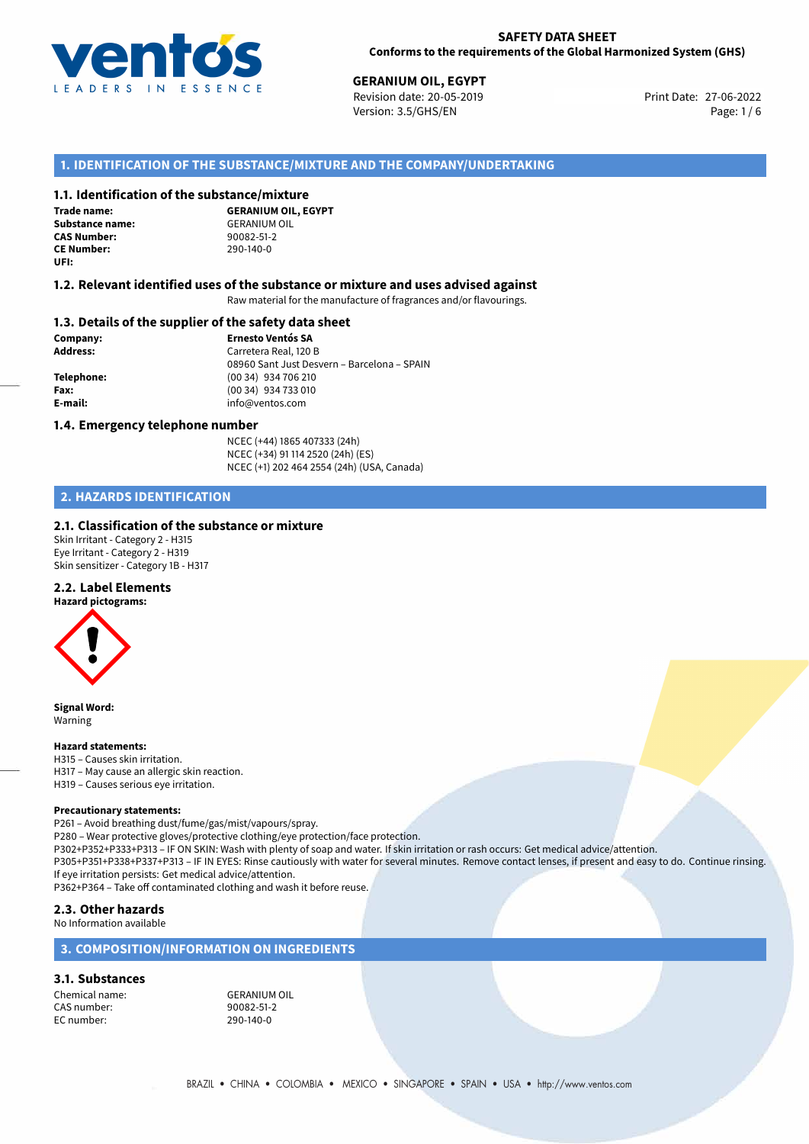

27-06-2022 **GERANIUM OIL, EGYPT** Revision date: 20-05-2019 Print Date: Version: 3.5/GHS/EN Page: 1/6

## **1. IDENTIFICATION OF THE SUBSTANCE/MIXTURE AND THE COMPANY/UNDERTAKING**

### **1.1. Identification of the substance/mixture**

**Trade name: Substance name:** GERANIUM OIL<br> **CAS Number:** 90082-51-2 **CAS Number: CE Number:** 290-140-0 **UFI:**

**GERANIUM OIL, EGYPT**

#### **1.2. Relevant identified uses of the substance or mixture and uses advised against**

Raw material for the manufacture of fragrances and/or flavourings.

#### **1.3. Details of the supplier of the safety data sheet**

**Company: Ernesto Ventós SA Address:** Carretera Real, 120 B 08960 Sant Just Desvern – Barcelona – SPAIN **Telephone:** (00 34) 934 706 210 **Fax:** (00 34) 934 733 010 **E-mail:** info@ventos.com

#### **1.4. Emergency telephone number**

NCEC (+44) 1865 407333 (24h) NCEC (+34) 91 114 2520 (24h) (ES) NCEC (+1) 202 464 2554 (24h) (USA, Canada)

## **2. HAZARDS IDENTIFICATION**

### **2.1. Classification of the substance or mixture**

Skin Irritant - Category 2 - H315 Eye Irritant - Category 2 - H319 Skin sensitizer - Category 1B - H317

#### **2.2. Label Elements**

**Hazard pictograms:**



**Signal Word:** Warning

#### **Hazard statements:**

H315 – Causes skin irritation. H317 – May cause an allergic skin reaction. H319 – Causes serious eye irritation.

#### **Precautionary statements:**

P261 – Avoid breathing dust/fume/gas/mist/vapours/spray.

P280 – Wear protective gloves/protective clothing/eye protection/face protection.

P302+P352+P333+P313 – IF ON SKIN: Wash with plenty of soap and water. If skin irritation or rash occurs: Get medical advice/attention. P305+P351+P338+P337+P313 – IF IN EYES: Rinse cautiously with water for several minutes. Remove contact lenses, if present and easy to do. Continue rinsing. If eye irritation persists: Get medical advice/attention.

P362+P364 – Take off contaminated clothing and wash it before reuse.

## **2.3. Other hazards**

No Information available

## **3. COMPOSITION/INFORMATION ON INGREDIENTS**

#### **3.1. Substances**

Chemical name: GERANIUM OIL<br>
CAS number: 90082-51-2 CAS number: EC number: 290-140-0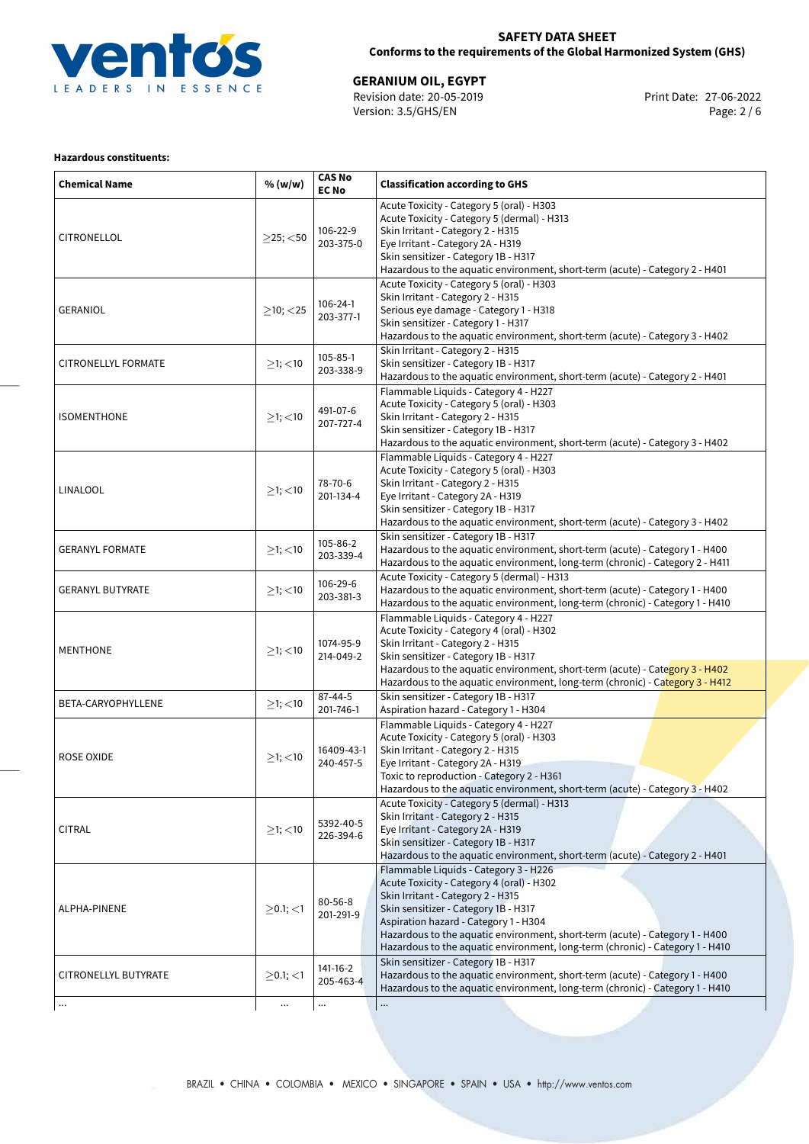

## **SAFETY DATA SHEET Conforms to the requirements of the Global Harmonized System (GHS)**

27-06-2022 **GERANIUM OIL, EGYPT** Revision date: 20-05-2019 Print Date: Version: 3.5/GHS/EN Page: 2 / 6

## **Hazardous constituents:**

| <b>Chemical Name</b>       | % (w/w)        | <b>CAS No</b><br><b>EC No</b> | <b>Classification according to GHS</b>                                                                                                                                                                                                                                                                                                                                    |  |
|----------------------------|----------------|-------------------------------|---------------------------------------------------------------------------------------------------------------------------------------------------------------------------------------------------------------------------------------------------------------------------------------------------------------------------------------------------------------------------|--|
| CITRONELLOL                | $>$ 25; $<$ 50 | 106-22-9<br>203-375-0         | Acute Toxicity - Category 5 (oral) - H303<br>Acute Toxicity - Category 5 (dermal) - H313<br>Skin Irritant - Category 2 - H315<br>Eye Irritant - Category 2A - H319<br>Skin sensitizer - Category 1B - H317<br>Hazardous to the aquatic environment, short-term (acute) - Category 2 - H401                                                                                |  |
| <b>GERANIOL</b>            | $\geq$ 10; <25 | 106-24-1<br>203-377-1         | Acute Toxicity - Category 5 (oral) - H303<br>Skin Irritant - Category 2 - H315<br>Serious eye damage - Category 1 - H318<br>Skin sensitizer - Category 1 - H317<br>Hazardous to the aquatic environment, short-term (acute) - Category 3 - H402                                                                                                                           |  |
| <b>CITRONELLYL FORMATE</b> | $>1$ ; <10     | 105-85-1<br>203-338-9         | Skin Irritant - Category 2 - H315<br>Skin sensitizer - Category 1B - H317<br>Hazardous to the aquatic environment, short-term (acute) - Category 2 - H401                                                                                                                                                                                                                 |  |
| <b>ISOMENTHONE</b>         | $\geq$ 1; <10  | 491-07-6<br>207-727-4         | Flammable Liquids - Category 4 - H227<br>Acute Toxicity - Category 5 (oral) - H303<br>Skin Irritant - Category 2 - H315<br>Skin sensitizer - Category 1B - H317<br>Hazardous to the aquatic environment, short-term (acute) - Category 3 - H402                                                                                                                           |  |
| LINALOOL                   | $\geq$ 1; <10  | 78-70-6<br>201-134-4          | Flammable Liquids - Category 4 - H227<br>Acute Toxicity - Category 5 (oral) - H303<br>Skin Irritant - Category 2 - H315<br>Eye Irritant - Category 2A - H319<br>Skin sensitizer - Category 1B - H317<br>Hazardous to the aquatic environment, short-term (acute) - Category 3 - H402                                                                                      |  |
| <b>GERANYL FORMATE</b>     | $\geq$ 1; <10  | 105-86-2<br>203-339-4         | Skin sensitizer - Category 1B - H317<br>Hazardous to the aquatic environment, short-term (acute) - Category 1 - H400<br>Hazardous to the aquatic environment, long-term (chronic) - Category 2 - H411                                                                                                                                                                     |  |
| <b>GERANYL BUTYRATE</b>    | $\geq$ 1; <10  | 106-29-6<br>203-381-3         | Acute Toxicity - Category 5 (dermal) - H313<br>Hazardous to the aquatic environment, short-term (acute) - Category 1 - H400<br>Hazardous to the aquatic environment, long-term (chronic) - Category 1 - H410                                                                                                                                                              |  |
| <b>MENTHONE</b>            | $\geq$ 1; <10  | 1074-95-9<br>214-049-2        | Flammable Liquids - Category 4 - H227<br>Acute Toxicity - Category 4 (oral) - H302<br>Skin Irritant - Category 2 - H315<br>Skin sensitizer - Category 1B - H317<br>Hazardous to the aquatic environment, short-term (acute) - Category 3 - H402<br>Hazardous to the aquatic environment, long-term (chronic) - Category 3 - H412                                          |  |
| BETA-CARYOPHYLLENE         | $\geq$ 1; <10  | $87 - 44 - 5$<br>201-746-1    | Skin sensitizer - Category 1B - H317<br>Aspiration hazard - Category 1 - H304                                                                                                                                                                                                                                                                                             |  |
| <b>ROSE OXIDE</b>          | $\geq$ 1; <10  | 16409-43-1<br>240-457-5       | Flammable Liquids - Category 4 - H227<br>Acute Toxicity - Category 5 (oral) - H303<br>Skin Irritant - Category 2 - H315<br>Eye Irritant - Category 2A - H319<br>Toxic to reproduction - Category 2 - H361<br>Hazardous to the aquatic environment, short-term (acute) - Category 3 - H402                                                                                 |  |
| <b>CITRAL</b>              | $>1$ ; $<$ 10  | 5392-40-5<br>226-394-6        | Acute Toxicity - Category 5 (dermal) - H313<br>Skin Irritant - Category 2 - H315<br>Eye Irritant - Category 2A - H319<br>Skin sensitizer - Category 1B - H317<br>Hazardous to the aquatic environment, short-term (acute) - Category 2 - H401                                                                                                                             |  |
| ALPHA-PINENE               | $\geq$ 0.1; <1 | $80 - 56 - 8$<br>201-291-9    | Flammable Liquids - Category 3 - H226<br>Acute Toxicity - Category 4 (oral) - H302<br>Skin Irritant - Category 2 - H315<br>Skin sensitizer - Category 1B - H317<br>Aspiration hazard - Category 1 - H304<br>Hazardous to the aquatic environment, short-term (acute) - Category 1 - H400<br>Hazardous to the aquatic environment, long-term (chronic) - Category 1 - H410 |  |
| CITRONELLYL BUTYRATE       | $\geq$ 0.1; <1 | 141-16-2<br>205-463-4         | Skin sensitizer - Category 1B - H317<br>Hazardous to the aquatic environment, short-term (acute) - Category 1 - H400<br>Hazardous to the aquatic environment, long-term (chronic) - Category 1 - H410                                                                                                                                                                     |  |
| $\cdots$                   | $\cdots$       | $\cdots$                      |                                                                                                                                                                                                                                                                                                                                                                           |  |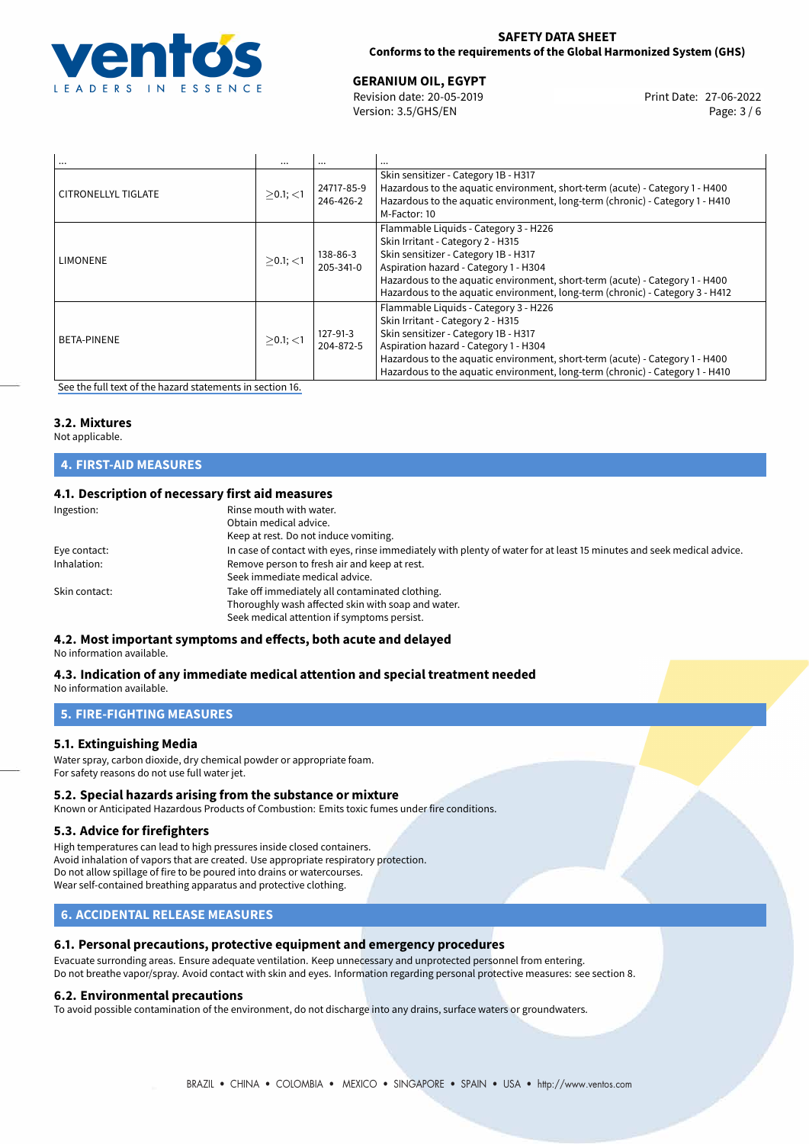

## **SAFETY DATA SHEET Conforms to the requirements of the Global Harmonized System (GHS)**

27-06-2022 **GERANIUM OIL, EGYPT** Revision date: 20-05-2019 Print Date: Version: 3.5/GHS/EN Page: 3 / 6

| $\cdots$            |             |                         | $\cdots$                                                                                                                                                                                                                                                                                                                     |
|---------------------|-------------|-------------------------|------------------------------------------------------------------------------------------------------------------------------------------------------------------------------------------------------------------------------------------------------------------------------------------------------------------------------|
| CITRONELLYL TIGLATE | $>0.1$ ; <1 | 24717-85-9<br>246-426-2 | Skin sensitizer - Category 1B - H317<br>Hazardous to the aquatic environment, short-term (acute) - Category 1 - H400<br>Hazardous to the aquatic environment, long-term (chronic) - Category 1 - H410<br>M-Factor: 10                                                                                                        |
| LIMONENE            | $>0.1$ ; <1 | 138-86-3<br>205-341-0   | Flammable Liquids - Category 3 - H226<br>Skin Irritant - Category 2 - H315<br>Skin sensitizer - Category 1B - H317<br>Aspiration hazard - Category 1 - H304<br>Hazardous to the aquatic environment, short-term (acute) - Category 1 - H400<br>Hazardous to the aquatic environment, long-term (chronic) - Category 3 - H412 |
| <b>BETA-PINENE</b>  | $>0.1$ ; <1 | 127-91-3<br>204-872-5   | Flammable Liquids - Category 3 - H226<br>Skin Irritant - Category 2 - H315<br>Skin sensitizer - Category 1B - H317<br>Aspiration hazard - Category 1 - H304<br>Hazardous to the aquatic environment, short-term (acute) - Category 1 - H400<br>Hazardous to the aquatic environment, long-term (chronic) - Category 1 - H410 |

[See the full text of the hazard statements in section 16.](#page-5-0)

#### **3.2. Mixtures**

Not applicable.

#### **4. FIRST-AID MEASURES**

## **4.1. Description of necessary first aid measures**

| Ingestion:    | Rinse mouth with water.<br>Obtain medical advice.<br>Keep at rest. Do not induce vomiting.                                                           |
|---------------|------------------------------------------------------------------------------------------------------------------------------------------------------|
| Eye contact:  | In case of contact with eyes, rinse immediately with plenty of water for at least 15 minutes and seek medical advice.                                |
| Inhalation:   | Remove person to fresh air and keep at rest.<br>Seek immediate medical advice.                                                                       |
| Skin contact: | Take off immediately all contaminated clothing.<br>Thoroughly wash affected skin with soap and water.<br>Seek medical attention if symptoms persist. |

### **4.2. Most important symptoms and effects, both acute and delayed**

No information available.

## **4.3. Indication of any immediate medical attention and special treatment needed**

No information available.

## **5. FIRE-FIGHTING MEASURES**

### **5.1. Extinguishing Media**

Water spray, carbon dioxide, dry chemical powder or appropriate foam. For safety reasons do not use full water jet.

### **5.2. Special hazards arising from the substance or mixture**

Known or Anticipated Hazardous Products of Combustion: Emits toxic fumes under fire conditions.

#### **5.3. Advice for firefighters**

High temperatures can lead to high pressures inside closed containers. Avoid inhalation of vapors that are created. Use appropriate respiratory protection. Do not allow spillage of fire to be poured into drains or watercourses. Wear self-contained breathing apparatus and protective clothing.

## **6. ACCIDENTAL RELEASE MEASURES**

## **6.1. Personal precautions, protective equipment and emergency procedures**

Evacuate surronding areas. Ensure adequate ventilation. Keep unnecessary and unprotected personnel from entering. Do not breathe vapor/spray. Avoid contact with skin and eyes. Information regarding personal protective measures: see section 8.

## **6.2. Environmental precautions**

To avoid possible contamination of the environment, do not discharge into any drains, surface waters or groundwaters.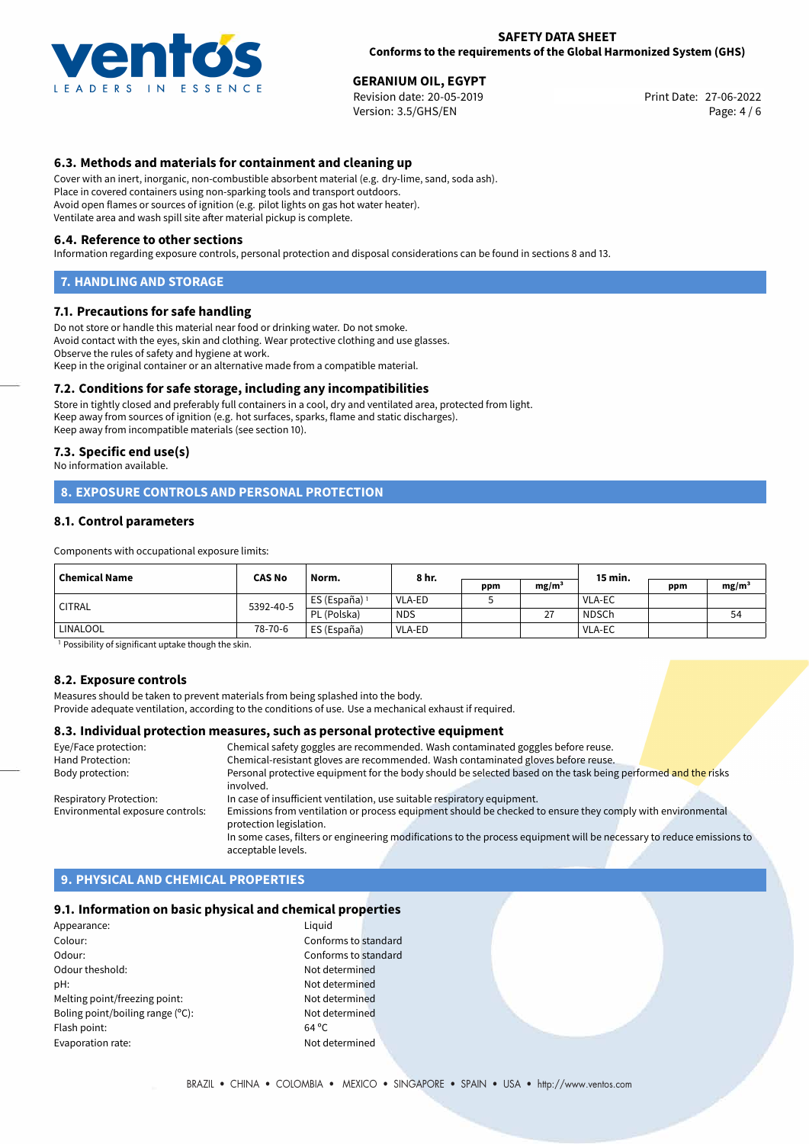

27-06-2022 **GERANIUM OIL, EGYPT** Revision date: 20-05-2019 Print Date: Version: 3.5/GHS/EN Page: 4 / 6

## **6.3. Methods and materials for containment and cleaning up**

Cover with an inert, inorganic, non-combustible absorbent material (e.g. dry-lime, sand, soda ash). Place in covered containers using non-sparking tools and transport outdoors. Avoid open flames or sources of ignition (e.g. pilot lights on gas hot water heater). Ventilate area and wash spill site after material pickup is complete.

#### **6.4. Reference to other sections**

Information regarding exposure controls, personal protection and disposal considerations can be found in sections 8 and 13.

## **7. HANDLING AND STORAGE**

#### **7.1. Precautions for safe handling**

Do not store or handle this material near food or drinking water. Do not smoke. Avoid contact with the eyes, skin and clothing. Wear protective clothing and use glasses. Observe the rules of safety and hygiene at work. Keep in the original container or an alternative made from a compatible material.

### **7.2. Conditions for safe storage, including any incompatibilities**

Store in tightly closed and preferably full containers in a cool, dry and ventilated area, protected from light. Keep away from sources of ignition (e.g. hot surfaces, sparks, flame and static discharges). Keep away from incompatible materials (see section 10).

#### **7.3. Specific end use(s)**

No information available.

## **8. EXPOSURE CONTROLS AND PERSONAL PROTECTION**

#### **8.1. Control parameters**

Components with occupational exposure limits:

| Chemical Name | <b>CAS No</b> | Norm.                    | 8 hr.      |     |                    | 15 min.      |     |                   |
|---------------|---------------|--------------------------|------------|-----|--------------------|--------------|-----|-------------------|
|               |               |                          |            | ppm | mg/m <sup>3</sup>  |              | ppm | mg/m <sup>3</sup> |
| <b>CITRAL</b> | 5392-40-5     | ES (España) <sup>1</sup> | VLA-ED     |     |                    | VLA-EC       |     |                   |
|               |               | PL (Polska)              | <b>NDS</b> |     | $\mathcal{L}$<br>∠ | <b>NDSCh</b> |     | 54                |
| LINALOOL      | 78-70-6       | ES (España)              | VLA-ED     |     |                    | VLA-EC       |     |                   |

<sup>1</sup> Possibility of significant uptake though the skin.

### **8.2. Exposure controls**

Measures should be taken to prevent materials from being splashed into the body.

Provide adequate ventilation, according to the conditions of use. Use a mechanical exhaust if required.

#### **8.3. Individual protection measures, such as personal protective equipment**

| Eye/Face protection:             | Chemical safety goggles are recommended. Wash contaminated goggles before reuse.                                      |
|----------------------------------|-----------------------------------------------------------------------------------------------------------------------|
| Hand Protection:                 | Chemical-resistant gloves are recommended. Wash contaminated gloves before reuse.                                     |
| Body protection:                 | Personal protective equipment for the body should be selected based on the task being performed and the risks         |
|                                  | involved.                                                                                                             |
| Respiratory Protection:          | In case of insufficient ventilation, use suitable respiratory equipment.                                              |
| Environmental exposure controls: | Emissions from ventilation or process equipment should be checked to ensure they comply with environmental            |
|                                  | protection legislation.                                                                                               |
|                                  | In some cases, filters or engineering modifications to the process equipment will be necessary to reduce emissions to |
|                                  | acceptable levels.                                                                                                    |

## **9. PHYSICAL AND CHEMICAL PROPERTIES**

#### **9.1. Information on basic physical and chemical properties**

| Appearance:                      | Liquid         |
|----------------------------------|----------------|
| Colour:                          | Confo          |
| Odour:                           | Confo          |
| Odour theshold:                  | Not de         |
| pH:                              | Not de         |
| Melting point/freezing point:    | Not de         |
| Boling point/boiling range (°C): | Not de         |
| Flash point:                     | $64^{\circ}$ C |
| Evaporation rate:                | Not de         |
|                                  |                |

Conforms to standard Conforms to standard Not determined Not determined Not determined Not determined Not determined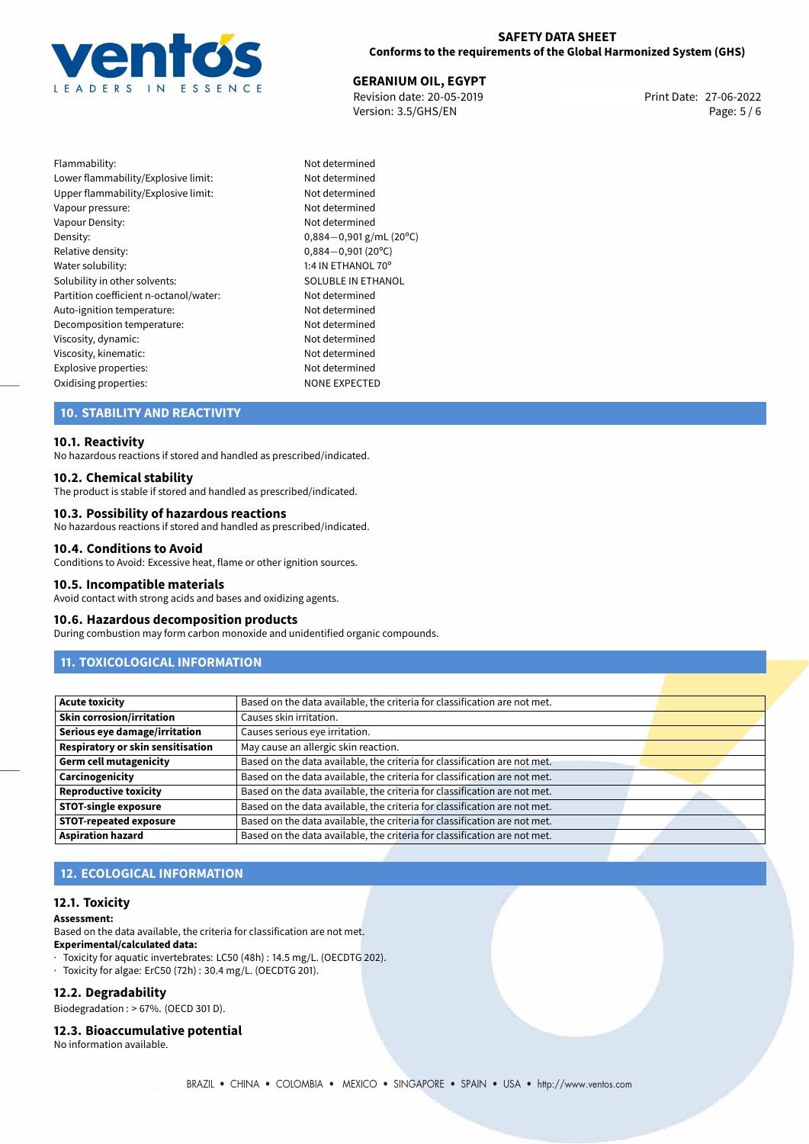

## **SAFETY DATA SHEET Conforms to the requirements of the Global Harmonized System (GHS)**

**GERANIUM OIL, EGYPT**<br> **27-06-2022** Print Date: 27-06-2022<br> **Print Date: 27-06-2022** Revision date: 20-05-2019 Version: 3.5/GHS/EN Page: 5 / 6

Flammability: Not determined Lower flammability/Explosive limit: Not determined Upper flammability/Explosive limit: Not determined Vapour pressure: Not determined Vapour Density: Not determined Density: 0,884−0,901 g/mL (20°C)<br>Relative density: 0,884−0,901 (20°C) Relative density: 0,884−0,901 (20°C)<br>Water solubility: 0,884−0,901 (20°C) Solubility in other solvents: SOLUBLE IN ETHANOL Partition coefficient n-octanol/water: Not determined Auto-ignition temperature: Not determined Decomposition temperature: Not determined Viscosity, dynamic: Not determined Viscosity, kinematic: Not determined Explosive properties: Not determined Oxidising properties: NONE EXPECTED

1:4 IN ETHANOL 70°

## **10. STABILITY AND REACTIVITY**

#### **10.1. Reactivity**

No hazardous reactions if stored and handled as prescribed/indicated.

#### **10.2. Chemical stability**

The product is stable if stored and handled as prescribed/indicated.

#### **10.3. Possibility of hazardous reactions**

No hazardous reactions if stored and handled as prescribed/indicated.

#### **10.4. Conditions to Avoid**

Conditions to Avoid: Excessive heat, flame or other ignition sources.

#### **10.5. Incompatible materials**

Avoid contact with strong acids and bases and oxidizing agents.

#### **10.6. Hazardous decomposition products**

During combustion may form carbon monoxide and unidentified organic compounds.

## **11. TOXICOLOGICAL INFORMATION**

| <b>Acute toxicity</b>             | Based on the data available, the criteria for classification are not met. |  |
|-----------------------------------|---------------------------------------------------------------------------|--|
| <b>Skin corrosion/irritation</b>  | Causes skin irritation.                                                   |  |
| Serious eye damage/irritation     | Causes serious eye irritation.                                            |  |
| Respiratory or skin sensitisation | May cause an allergic skin reaction.                                      |  |
| <b>Germ cell mutagenicity</b>     | Based on the data available, the criteria for classification are not met. |  |
| Carcinogenicity                   | Based on the data available, the criteria for classification are not met. |  |
| <b>Reproductive toxicity</b>      | Based on the data available, the criteria for classification are not met. |  |
| <b>STOT-single exposure</b>       | Based on the data available, the criteria for classification are not met. |  |
| <b>STOT-repeated exposure</b>     | Based on the data available, the criteria for classification are not met. |  |
| <b>Aspiration hazard</b>          | Based on the data available, the criteria for classification are not met. |  |

## **12. ECOLOGICAL INFORMATION**

#### **12.1. Toxicity**

**Assessment:**

Based on the data available, the criteria for classification are not met. **Experimental/calculated data:**

- · Toxicity for aquatic invertebrates: LC50 (48h) : 14.5 mg/L. (OECDTG 202).
- · Toxicity for algae: ErC50 (72h) : 30.4 mg/L. (OECDTG 201).

#### **12.2. Degradability**

Biodegradation : > 67%. (OECD 301 D).

#### **12.3. Bioaccumulative potential**

No information available.